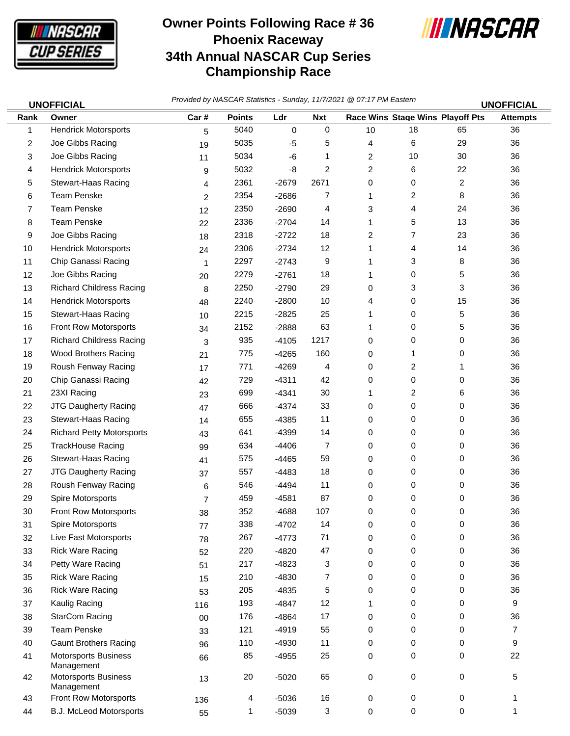

## **Owner Points Following Race # 36 Phoenix Raceway 34th Annual NASCAR Cup Series Championship Race**



*Provided by NASCAR Statistics - Sunday, 11/7/2021 @ 07:17 PM Eastern* **UNOFFICIAL UNOFFICIAL**

| Rank | וטויו וטור<br>Owner                       | Car#           | <b>Points</b>  | Ldr     | <b>Nxt</b>  |    | Race Wins Stage Wins Playoff Pts |                | וטויו וטור<br><b>Attempts</b> |
|------|-------------------------------------------|----------------|----------------|---------|-------------|----|----------------------------------|----------------|-------------------------------|
| 1    | <b>Hendrick Motorsports</b>               | 5              | 5040           | 0       | $\mathbf 0$ | 10 | 18                               | 65             | 36                            |
| 2    | Joe Gibbs Racing                          | 19             | 5035           | $-5$    | 5           | 4  | 6                                | 29             | 36                            |
| 3    | Joe Gibbs Racing                          | 11             | 5034           | -6      | 1           | 2  | 10                               | 30             | 36                            |
| 4    | <b>Hendrick Motorsports</b>               | 9              | 5032           | -8      | 2           | 2  | 6                                | 22             | 36                            |
| 5    | Stewart-Haas Racing                       | 4              | 2361           | $-2679$ | 2671        | 0  | 0                                | $\overline{2}$ | 36                            |
| 6    | <b>Team Penske</b>                        | 2              | 2354           | $-2686$ | 7           | 1  | 2                                | 8              | 36                            |
| 7    | <b>Team Penske</b>                        | 12             | 2350           | $-2690$ | 4           | 3  | 4                                | 24             | 36                            |
| 8    | <b>Team Penske</b>                        | 22             | 2336           | $-2704$ | 14          | 1  | 5                                | 13             | 36                            |
| 9    | Joe Gibbs Racing                          | 18             | 2318           | $-2722$ | 18          | 2  | 7                                | 23             | 36                            |
| 10   | <b>Hendrick Motorsports</b>               | 24             | 2306           | $-2734$ | 12          | 1  | 4                                | 14             | 36                            |
| 11   | Chip Ganassi Racing                       | $\mathbf{1}$   | 2297           | $-2743$ | 9           | 1  | 3                                | 8              | 36                            |
| 12   | Joe Gibbs Racing                          | 20             | 2279           | $-2761$ | 18          | 1  | 0                                | 5              | 36                            |
| 13   | <b>Richard Childress Racing</b>           | 8              | 2250           | $-2790$ | 29          | 0  | 3                                | 3              | 36                            |
| 14   | <b>Hendrick Motorsports</b>               | 48             | 2240           | $-2800$ | 10          | 4  | 0                                | 15             | 36                            |
| 15   | <b>Stewart-Haas Racing</b>                | 10             | 2215           | $-2825$ | 25          | 1  | 0                                | 5              | 36                            |
| 16   | Front Row Motorsports                     | 34             | 2152           | $-2888$ | 63          | 1  | 0                                | 5              | 36                            |
| 17   | <b>Richard Childress Racing</b>           | 3              | 935            | $-4105$ | 1217        | 0  | 0                                | 0              | 36                            |
| 18   | Wood Brothers Racing                      | 21             | 775            | $-4265$ | 160         | 0  | 1                                | 0              | 36                            |
| 19   | Roush Fenway Racing                       | 17             | 771            | $-4269$ | 4           | 0  | 2                                | 1              | 36                            |
| 20   | Chip Ganassi Racing                       | 42             | 729            | $-4311$ | 42          | 0  | 0                                | 0              | 36                            |
| 21   | 23XI Racing                               | 23             | 699            | $-4341$ | 30          | 1  | 2                                | 6              | 36                            |
| 22   | JTG Daugherty Racing                      | 47             | 666            | $-4374$ | 33          | 0  | $\mathbf 0$                      | 0              | 36                            |
| 23   | Stewart-Haas Racing                       | 14             | 655            | $-4385$ | 11          | 0  | 0                                | 0              | 36                            |
| 24   | <b>Richard Petty Motorsports</b>          | 43             | 641            | $-4399$ | 14          | 0  | 0                                | 0              | 36                            |
| 25   | <b>TrackHouse Racing</b>                  | 99             | 634            | $-4406$ | 7           | 0  | 0                                | 0              | 36                            |
| 26   | Stewart-Haas Racing                       | 41             | 575            | $-4465$ | 59          | 0  | 0                                | 0              | 36                            |
| 27   | JTG Daugherty Racing                      | 37             | 557            | $-4483$ | 18          | 0  | 0                                | 0              | 36                            |
| 28   | Roush Fenway Racing                       | 6              | 546            | $-4494$ | 11          | 0  | 0                                | 0              | 36                            |
| 29   | Spire Motorsports                         | $\overline{7}$ | 459            | $-4581$ | 87          | 0  | 0                                | 0              | 36                            |
| 30   | Front Row Motorsports                     | 38             | 352            | $-4688$ | 107         | 0  | 0                                | 0              | 36                            |
| 31   | Spire Motorsports                         | 77             | 338            | $-4702$ | 14          | 0  | 0                                | 0              | 36                            |
| 32   | Live Fast Motorsports                     | 78             | 267            | $-4773$ | 71          | 0  | 0                                | 0              | 36                            |
| 33   | <b>Rick Ware Racing</b>                   | 52             | 220            | $-4820$ | 47          | 0  | 0                                | 0              | 36                            |
| 34   | Petty Ware Racing                         | 51             | 217            | $-4823$ | 3           | 0  | 0                                | 0              | 36                            |
| 35   | <b>Rick Ware Racing</b>                   | 15             | 210            | $-4830$ | 7           | 0  | $\mathbf 0$                      | 0              | 36                            |
| 36   | <b>Rick Ware Racing</b>                   | 53             | 205            | $-4835$ | 5           | 0  | 0                                | 0              | 36                            |
| 37   | Kaulig Racing                             | 116            | 193            | $-4847$ | 12          | 1  | 0                                | 0              | 9                             |
| 38   | <b>StarCom Racing</b>                     | 00             | 176            | $-4864$ | 17          | 0  | 0                                | 0              | 36                            |
| 39   | <b>Team Penske</b>                        | 33             | 121            | $-4919$ | 55          | 0  | $\mathbf 0$                      | 0              | $\overline{7}$                |
| 40   | <b>Gaunt Brothers Racing</b>              | 96             | 110            | $-4930$ | 11          | 0  | 0                                | 0              | 9                             |
| 41   | <b>Motorsports Business</b><br>Management | 66             | 85             | $-4955$ | 25          | 0  | $\mathbf 0$                      | 0              | 22                            |
| 42   | <b>Motorsports Business</b><br>Management | 13             | 20             | $-5020$ | 65          | 0  | $\mathbf 0$                      | 0              | 5                             |
| 43   | Front Row Motorsports                     | 136            | $\overline{4}$ | $-5036$ | 16          | 0  | $\mathbf 0$                      | 0              | 1                             |
| 44   | <b>B.J. McLeod Motorsports</b>            | 55             | $\mathbf{1}$   | $-5039$ | 3           | 0  | $\mathsf{O}$                     | 0              | 1                             |